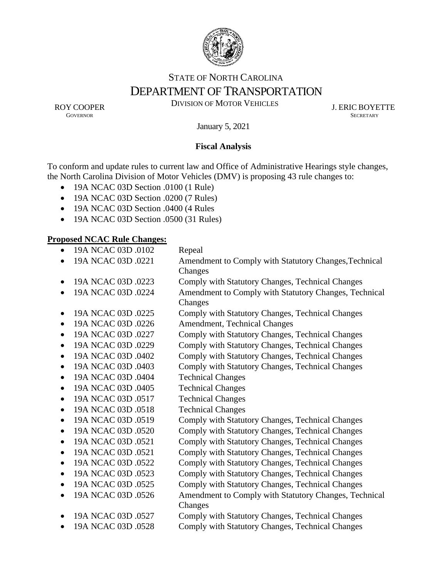

# STATE OF NORTH CAROLINA DEPARTMENT OF TRANSPORTATION

ROY COOPER DIVISION OF MOTOR VEHICLES J. ERIC BOYETTE

**GOVERNOR SECRETARY** SECRETARY

January 5, 2021

# **Fiscal Analysis**

To conform and update rules to current law and Office of Administrative Hearings style changes, the North Carolina Division of Motor Vehicles (DMV) is proposing 43 rule changes to:

- 19A NCAC 03D Section .0100 (1 Rule)
- 19A NCAC 03D Section .0200 (7 Rules)
- 19A NCAC 03D Section .0400 (4 Rules
- 19A NCAC 03D Section .0500 (31 Rules)

# **Proposed NCAC Rule Changes:**

| $\bullet$ | 19A NCAC 03D .0102 | Repeal                                                           |
|-----------|--------------------|------------------------------------------------------------------|
|           | 19A NCAC 03D .0221 | Amendment to Comply with Statutory Changes, Technical<br>Changes |
| $\bullet$ | 19A NCAC 03D .0223 | Comply with Statutory Changes, Technical Changes                 |
|           | 19A NCAC 03D .0224 | Amendment to Comply with Statutory Changes, Technical<br>Changes |
| $\bullet$ | 19A NCAC 03D .0225 | Comply with Statutory Changes, Technical Changes                 |
| $\bullet$ | 19A NCAC 03D .0226 | Amendment, Technical Changes                                     |
| $\bullet$ | 19A NCAC 03D .0227 | Comply with Statutory Changes, Technical Changes                 |
| $\bullet$ | 19A NCAC 03D .0229 | Comply with Statutory Changes, Technical Changes                 |
| $\bullet$ | 19A NCAC 03D .0402 | Comply with Statutory Changes, Technical Changes                 |
| $\bullet$ | 19A NCAC 03D .0403 | Comply with Statutory Changes, Technical Changes                 |
| $\bullet$ | 19A NCAC 03D .0404 | <b>Technical Changes</b>                                         |
| $\bullet$ | 19A NCAC 03D .0405 | <b>Technical Changes</b>                                         |
| $\bullet$ | 19A NCAC 03D .0517 | <b>Technical Changes</b>                                         |
| $\bullet$ | 19A NCAC 03D .0518 | <b>Technical Changes</b>                                         |
| $\bullet$ | 19A NCAC 03D .0519 | Comply with Statutory Changes, Technical Changes                 |
| $\bullet$ | 19A NCAC 03D .0520 | Comply with Statutory Changes, Technical Changes                 |
| $\bullet$ | 19A NCAC 03D .0521 | Comply with Statutory Changes, Technical Changes                 |
| $\bullet$ | 19A NCAC 03D .0521 | Comply with Statutory Changes, Technical Changes                 |
| $\bullet$ | 19A NCAC 03D .0522 | Comply with Statutory Changes, Technical Changes                 |
| $\bullet$ | 19A NCAC 03D .0523 | Comply with Statutory Changes, Technical Changes                 |
|           | 19A NCAC 03D .0525 | Comply with Statutory Changes, Technical Changes                 |
| $\bullet$ | 19A NCAC 03D .0526 | Amendment to Comply with Statutory Changes, Technical<br>Changes |
|           | 19A NCAC 03D .0527 | Comply with Statutory Changes, Technical Changes                 |
|           | 19A NCAC 03D .0528 | Comply with Statutory Changes, Technical Changes                 |
|           |                    |                                                                  |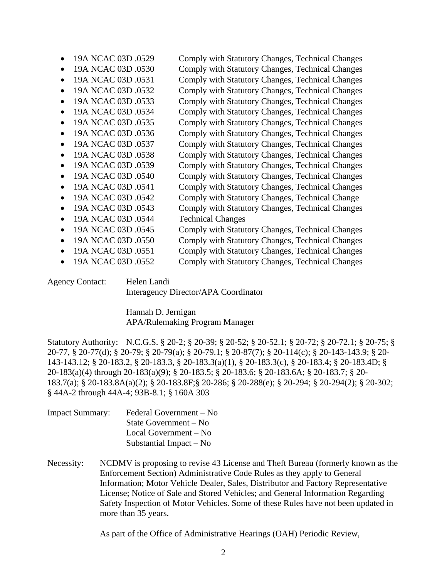| 19A NCAC 03D .0529              | Comply with Statutory Changes, Technical Changes |
|---------------------------------|--------------------------------------------------|
| 19A NCAC 03D .0530              | Comply with Statutory Changes, Technical Changes |
| 19A NCAC 03D .0531              | Comply with Statutory Changes, Technical Changes |
| 19A NCAC 03D .0532              | Comply with Statutory Changes, Technical Changes |
| 19A NCAC 03D .0533              | Comply with Statutory Changes, Technical Changes |
| 19A NCAC 03D .0534              | Comply with Statutory Changes, Technical Changes |
| 19A NCAC 03D .0535              | Comply with Statutory Changes, Technical Changes |
| 19A NCAC 03D .0536              | Comply with Statutory Changes, Technical Changes |
| 19A NCAC 03D .0537              | Comply with Statutory Changes, Technical Changes |
| 19A NCAC 03D .0538              | Comply with Statutory Changes, Technical Changes |
| 19A NCAC 03D .0539              | Comply with Statutory Changes, Technical Changes |
| 19A NCAC 03D .0540              | Comply with Statutory Changes, Technical Changes |
| 19A NCAC 03D .0541<br>$\bullet$ | Comply with Statutory Changes, Technical Changes |
| 19A NCAC 03D .0542              | Comply with Statutory Changes, Technical Change  |
| 19A NCAC 03D .0543              | Comply with Statutory Changes, Technical Changes |
| 19A NCAC 03D .0544              | <b>Technical Changes</b>                         |
| 19A NCAC 03D .0545              | Comply with Statutory Changes, Technical Changes |
| 19A NCAC 03D .0550              | Comply with Statutory Changes, Technical Changes |
| 19A NCAC 03D .0551              | Comply with Statutory Changes, Technical Changes |
| 19A NCAC 03D .0552              | Comply with Statutory Changes, Technical Changes |
|                                 |                                                  |

Agency Contact: Helen Landi Interagency Director/APA Coordinator

> Hannah D. Jernigan APA/Rulemaking Program Manager

Statutory Authority: N.C.G.S. § 20-2; § 20-39; § 20-52; § 20-52.1; § 20-72; § 20-72.1; § 20-75; § 20-77, § 20-77(d); § 20-79; § 20-79(a); § 20-79.1; § 20-87(7); § 20-114(c); § 20-143-143.9; § 20- 143-143.12; § 20-183.2, § 20-183.3, § 20-183.3(a)(1), § 20-183.3(c), § 20-183.4; § 20-183.4D; § 20-183(a)(4) through 20-183(a)(9); § 20-183.5; § 20-183.6; § 20-183.6A; § 20-183.7; § 20- 183.7(a); § 20-183.8A(a)(2); § 20-183.8F;§ 20-286; § 20-288(e); § 20-294; § 20-294(2); § 20-302; § 44A-2 through 44A-4; 93B-8.1; § 160A 303

| <b>Impact Summary:</b> | Federal Government – No   |
|------------------------|---------------------------|
|                        | State Government $-$ No   |
|                        | Local Government $-$ No   |
|                        | Substantial Impact $-$ No |

Necessity: NCDMV is proposing to revise 43 License and Theft Bureau (formerly known as the Enforcement Section) Administrative Code Rules as they apply to General Information; Motor Vehicle Dealer, Sales, Distributor and Factory Representative License; Notice of Sale and Stored Vehicles; and General Information Regarding Safety Inspection of Motor Vehicles. Some of these Rules have not been updated in more than 35 years.

As part of the Office of Administrative Hearings (OAH) Periodic Review,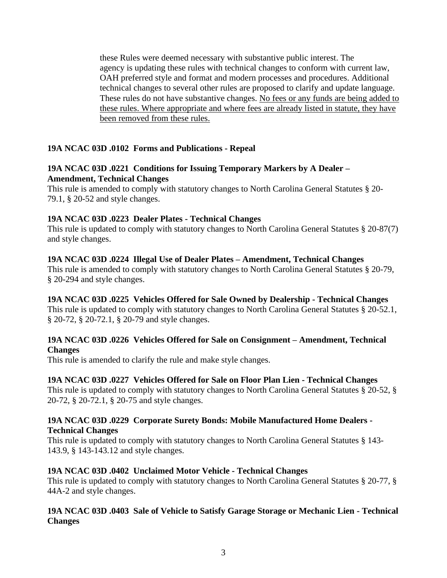these Rules were deemed necessary with substantive public interest. The agency is updating these rules with technical changes to conform with current law, OAH preferred style and format and modern processes and procedures. Additional technical changes to several other rules are proposed to clarify and update language. These rules do not have substantive changes. No fees or any funds are being added to these rules. Where appropriate and where fees are already listed in statute, they have been removed from these rules.

# **19A NCAC 03D .0102 Forms and Publications - Repeal**

## **19A NCAC 03D .0221 Conditions for Issuing Temporary Markers by A Dealer – Amendment, Technical Changes**

This rule is amended to comply with statutory changes to North Carolina General Statutes § 20- 79.1, § 20-52 and style changes.

# **19A NCAC 03D .0223 Dealer Plates - Technical Changes**

This rule is updated to comply with statutory changes to North Carolina General Statutes § 20-87(7) and style changes.

## **19A NCAC 03D .0224 Illegal Use of Dealer Plates – Amendment, Technical Changes**

This rule is amended to comply with statutory changes to North Carolina General Statutes § 20-79, § 20-294 and style changes.

# **19A NCAC 03D .0225 Vehicles Offered for Sale Owned by Dealership - Technical Changes**

This rule is updated to comply with statutory changes to North Carolina General Statutes § 20-52.1, § 20-72, § 20-72.1, § 20-79 and style changes.

## **19A NCAC 03D .0226 Vehicles Offered for Sale on Consignment – Amendment, Technical Changes**

This rule is amended to clarify the rule and make style changes.

### **19A NCAC 03D .0227 Vehicles Offered for Sale on Floor Plan Lien - Technical Changes**

This rule is updated to comply with statutory changes to North Carolina General Statutes § 20-52, § 20-72, § 20-72.1, § 20-75 and style changes.

### **19A NCAC 03D .0229 Corporate Surety Bonds: Mobile Manufactured Home Dealers - Technical Changes**

This rule is updated to comply with statutory changes to North Carolina General Statutes § 143- 143.9, § 143-143.12 and style changes.

### **19A NCAC 03D .0402 Unclaimed Motor Vehicle - Technical Changes**

This rule is updated to comply with statutory changes to North Carolina General Statutes § 20-77, § 44A-2 and style changes.

## **19A NCAC 03D .0403 Sale of Vehicle to Satisfy Garage Storage or Mechanic Lien - Technical Changes**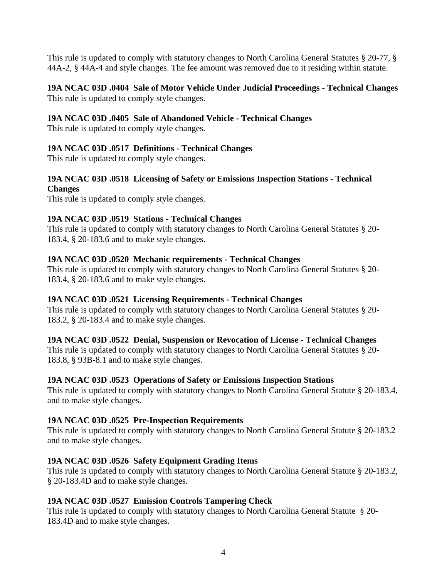This rule is updated to comply with statutory changes to North Carolina General Statutes § 20-77, § 44A-2, § 44A-4 and style changes. The fee amount was removed due to it residing within statute.

### **19A NCAC 03D .0404 Sale of Motor Vehicle Under Judicial Proceedings - Technical Changes** This rule is updated to comply style changes.

## **19A NCAC 03D .0405 Sale of Abandoned Vehicle - Technical Changes**

This rule is updated to comply style changes.

## **19A NCAC 03D .0517 Definitions - Technical Changes**

This rule is updated to comply style changes.

## **19A NCAC 03D .0518 Licensing of Safety or Emissions Inspection Stations - Technical Changes**

This rule is updated to comply style changes.

### **19A NCAC 03D .0519 Stations - Technical Changes**

This rule is updated to comply with statutory changes to North Carolina General Statutes § 20- 183.4, § 20-183.6 and to make style changes.

### **19A NCAC 03D .0520 Mechanic requirements - Technical Changes**

This rule is updated to comply with statutory changes to North Carolina General Statutes § 20- 183.4, § 20-183.6 and to make style changes.

### **19A NCAC 03D .0521 Licensing Requirements - Technical Changes**

This rule is updated to comply with statutory changes to North Carolina General Statutes § 20- 183.2, § 20-183.4 and to make style changes.

### **19A NCAC 03D .0522 Denial, Suspension or Revocation of License - Technical Changes**

This rule is updated to comply with statutory changes to North Carolina General Statutes § 20- 183.8, § 93B-8.1 and to make style changes.

### **19A NCAC 03D .0523 Operations of Safety or Emissions Inspection Stations**

This rule is updated to comply with statutory changes to North Carolina General Statute § 20-183.4, and to make style changes.

### **19A NCAC 03D .0525 Pre-Inspection Requirements**

This rule is updated to comply with statutory changes to North Carolina General Statute § 20-183.2 and to make style changes.

### **19A NCAC 03D .0526 Safety Equipment Grading Items**

This rule is updated to comply with statutory changes to North Carolina General Statute § 20-183.2, § 20-183.4D and to make style changes.

### **19A NCAC 03D .0527 Emission Controls Tampering Check**

This rule is updated to comply with statutory changes to North Carolina General Statute § 20- 183.4D and to make style changes.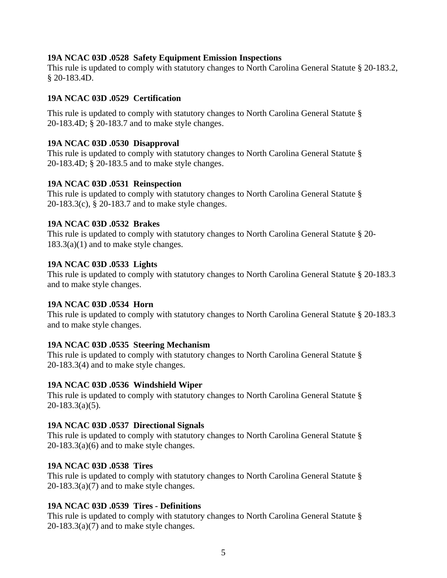## **19A NCAC 03D .0528 Safety Equipment Emission Inspections**

This rule is updated to comply with statutory changes to North Carolina General Statute § 20-183.2, § 20-183.4D.

## **19A NCAC 03D .0529 Certification**

This rule is updated to comply with statutory changes to North Carolina General Statute § 20-183.4D; § 20-183.7 and to make style changes.

## **19A NCAC 03D .0530 Disapproval**

This rule is updated to comply with statutory changes to North Carolina General Statute § 20-183.4D; § 20-183.5 and to make style changes.

### **19A NCAC 03D .0531 Reinspection**

This rule is updated to comply with statutory changes to North Carolina General Statute § 20-183.3(c), § 20-183.7 and to make style changes.

## **19A NCAC 03D .0532 Brakes**

This rule is updated to comply with statutory changes to North Carolina General Statute § 20-  $183.3(a)(1)$  and to make style changes.

## **19A NCAC 03D .0533 Lights**

This rule is updated to comply with statutory changes to North Carolina General Statute § 20-183.3 and to make style changes.

### **19A NCAC 03D .0534 Horn**

This rule is updated to comply with statutory changes to North Carolina General Statute § 20-183.3 and to make style changes.

# **19A NCAC 03D .0535 Steering Mechanism**

This rule is updated to comply with statutory changes to North Carolina General Statute § 20-183.3(4) and to make style changes.

### **19A NCAC 03D .0536 Windshield Wiper**

This rule is updated to comply with statutory changes to North Carolina General Statute § 20-183.3(a)(5).

# **19A NCAC 03D .0537 Directional Signals**

This rule is updated to comply with statutory changes to North Carolina General Statute §  $20-183.3(a)(6)$  and to make style changes.

# **19A NCAC 03D .0538 Tires**

This rule is updated to comply with statutory changes to North Carolina General Statute §  $20-183.3(a)(7)$  and to make style changes.

# **19A NCAC 03D .0539 Tires - Definitions**

This rule is updated to comply with statutory changes to North Carolina General Statute §  $20-183.3(a)(7)$  and to make style changes.